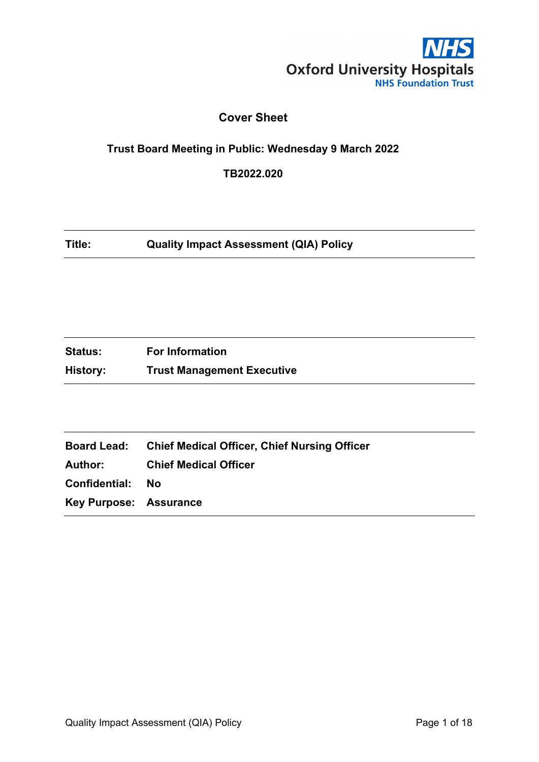

# **Cover Sheet**

## <span id="page-0-0"></span>**Trust Board Meeting in Public: Wednesday 9 March 2022**

**TB2022.020**

**Title: Quality Impact Assessment (QIA) Policy**

| <b>Status:</b> | <b>For Information</b>            |
|----------------|-----------------------------------|
| History:       | <b>Trust Management Executive</b> |

| <b>Board Lead:</b>      | <b>Chief Medical Officer, Chief Nursing Officer</b> |
|-------------------------|-----------------------------------------------------|
| Author:                 | <b>Chief Medical Officer</b>                        |
| <b>Confidential: No</b> |                                                     |
| Key Purpose: Assurance  |                                                     |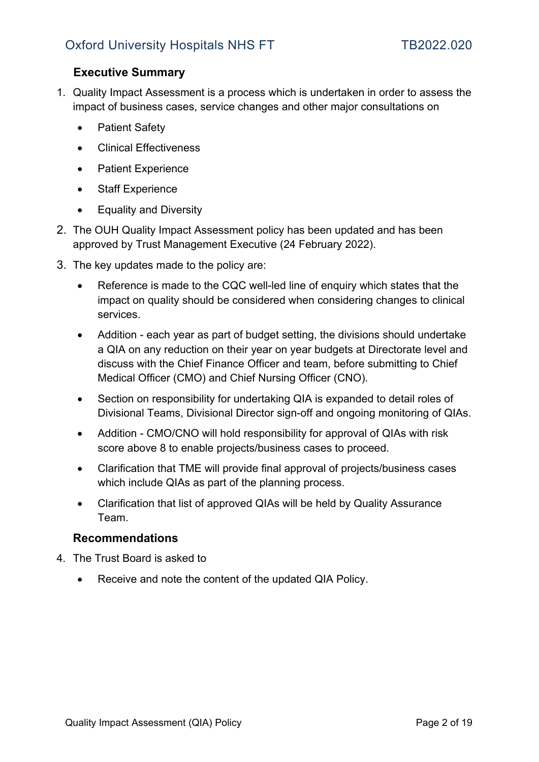# <span id="page-1-0"></span>**Executive Summary**

- 1. Quality Impact Assessment is a process which is undertaken in order to assess the impact of business cases, service changes and other major consultations on
	- Patient Safety
	- Clinical Effectiveness
	- Patient Experience
	- Staff Experience
	- Equality and Diversity
- 2. The OUH Quality Impact Assessment policy has been updated and has been approved by Trust Management Executive (24 February 2022).
- 3. The key updates made to the policy are:
	- Reference is made to the CQC well-led line of enquiry which states that the impact on quality should be considered when considering changes to clinical services.
	- Addition each year as part of budget setting, the divisions should undertake a QIA on any reduction on their year on year budgets at Directorate level and discuss with the Chief Finance Officer and team, before submitting to Chief Medical Officer (CMO) and Chief Nursing Officer (CNO).
	- Section on responsibility for undertaking QIA is expanded to detail roles of Divisional Teams, Divisional Director sign-off and ongoing monitoring of QIAs.
	- Addition CMO/CNO will hold responsibility for approval of QIAs with risk score above 8 to enable projects/business cases to proceed.
	- Clarification that TME will provide final approval of projects/business cases which include QIAs as part of the planning process.
	- Clarification that list of approved QIAs will be held by Quality Assurance Team.

## **Recommendations**

- 4. The Trust Board is asked to
	- Receive and note the content of the updated QIA Policy.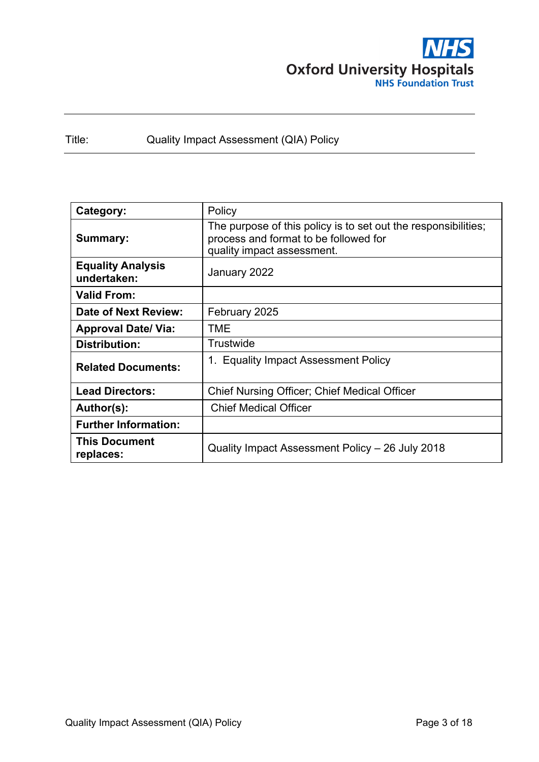

Title: Quality Impact Assessment (QIA) Policy

| Category:                               | Policy                                                                                                                                |  |  |
|-----------------------------------------|---------------------------------------------------------------------------------------------------------------------------------------|--|--|
| Summary:                                | The purpose of this policy is to set out the responsibilities;<br>process and format to be followed for<br>quality impact assessment. |  |  |
| <b>Equality Analysis</b><br>undertaken: | January 2022                                                                                                                          |  |  |
| <b>Valid From:</b>                      |                                                                                                                                       |  |  |
| Date of Next Review:                    | February 2025                                                                                                                         |  |  |
| <b>Approval Date/ Via:</b>              | TME                                                                                                                                   |  |  |
| <b>Distribution:</b>                    | Trustwide                                                                                                                             |  |  |
| <b>Related Documents:</b>               | 1. Equality Impact Assessment Policy                                                                                                  |  |  |
| <b>Lead Directors:</b>                  | <b>Chief Nursing Officer; Chief Medical Officer</b>                                                                                   |  |  |
| Author(s):                              | <b>Chief Medical Officer</b>                                                                                                          |  |  |
| <b>Further Information:</b>             |                                                                                                                                       |  |  |
| <b>This Document</b><br>replaces:       | Quality Impact Assessment Policy - 26 July 2018                                                                                       |  |  |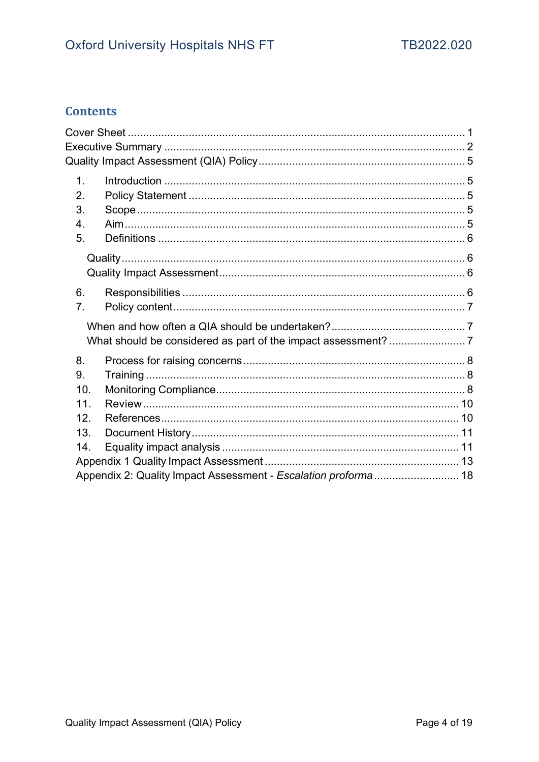# **Contents**

| $\mathbf{1}$ .  |                                                                |  |
|-----------------|----------------------------------------------------------------|--|
| 2.              |                                                                |  |
| 3.              |                                                                |  |
| 4.              |                                                                |  |
| 5.              |                                                                |  |
|                 |                                                                |  |
|                 |                                                                |  |
| 6.              |                                                                |  |
| 7.              |                                                                |  |
|                 |                                                                |  |
|                 |                                                                |  |
| 8.              |                                                                |  |
| 9.              |                                                                |  |
| 10.             |                                                                |  |
| 11 <sub>1</sub> |                                                                |  |
| 12.             |                                                                |  |
| 13.             |                                                                |  |
| 14.             |                                                                |  |
|                 |                                                                |  |
|                 | Appendix 2: Quality Impact Assessment - Escalation proforma 18 |  |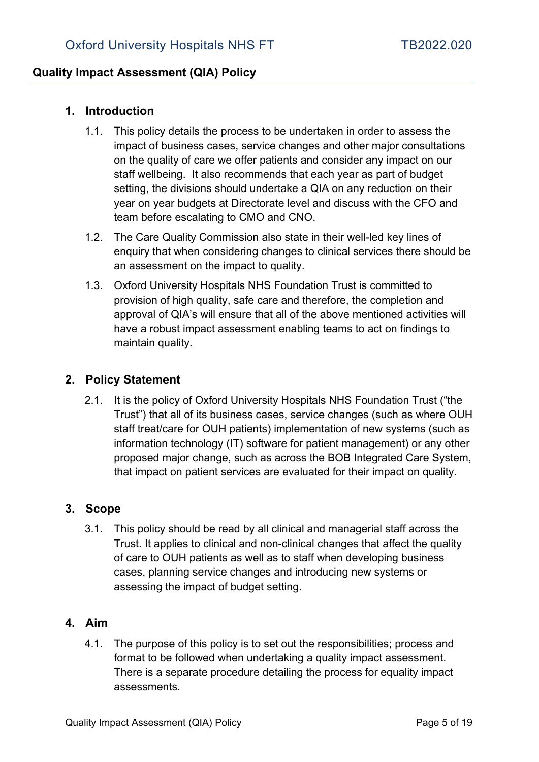## <span id="page-4-0"></span>**Quality Impact Assessment (QIA) Policy**

# <span id="page-4-1"></span>**1. Introduction**

- 1.1. This policy details the process to be undertaken in order to assess the impact of business cases, service changes and other major consultations on the quality of care we offer patients and consider any impact on our staff wellbeing. It also recommends that each year as part of budget setting, the divisions should undertake a QIA on any reduction on their year on year budgets at Directorate level and discuss with the CFO and team before escalating to CMO and CNO.
- 1.2. The Care Quality Commission also state in their well-led key lines of enquiry that when considering changes to clinical services there should be an assessment on the impact to quality.
- 1.3. Oxford University Hospitals NHS Foundation Trust is committed to provision of high quality, safe care and therefore, the completion and approval of QIA's will ensure that all of the above mentioned activities will have a robust impact assessment enabling teams to act on findings to maintain quality.

## <span id="page-4-2"></span>**2. Policy Statement**

2.1. It is the policy of Oxford University Hospitals NHS Foundation Trust ("the Trust") that all of its business cases, service changes (such as where OUH staff treat/care for OUH patients) implementation of new systems (such as information technology (IT) software for patient management) or any other proposed major change, such as across the BOB Integrated Care System, that impact on patient services are evaluated for their impact on quality.

## <span id="page-4-3"></span>**3. Scope**

3.1. This policy should be read by all clinical and managerial staff across the Trust. It applies to clinical and non-clinical changes that affect the quality of care to OUH patients as well as to staff when developing business cases, planning service changes and introducing new systems or assessing the impact of budget setting.

## <span id="page-4-4"></span>**4. Aim**

4.1. The purpose of this policy is to set out the responsibilities; process and format to be followed when undertaking a quality impact assessment. There is a separate procedure detailing the process for equality impact assessments.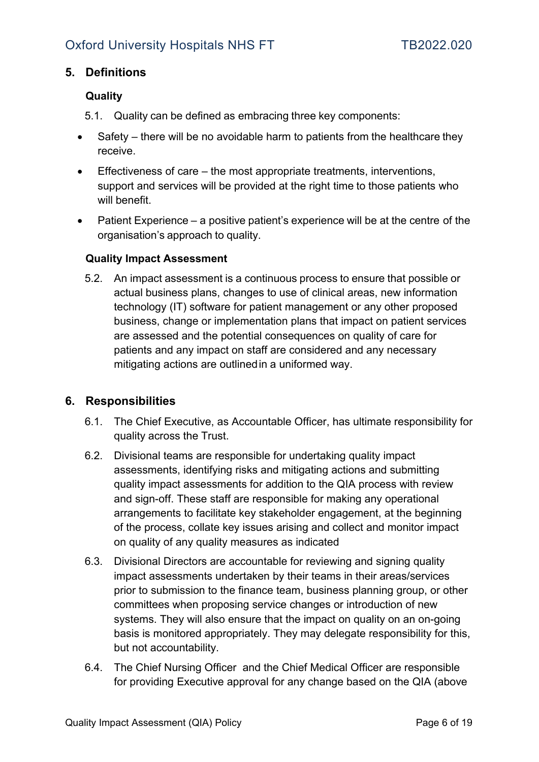# <span id="page-5-1"></span><span id="page-5-0"></span>**5. Definitions**

# **Quality**

- 5.1. Quality can be defined as embracing three key components:
- Safety there will be no avoidable harm to patients from the healthcare they receive.
- Effectiveness of care the most appropriate treatments, interventions, support and services will be provided at the right time to those patients who will benefit.
- Patient Experience a positive patient's experience will be at the centre of the organisation's approach to quality.

## <span id="page-5-2"></span>**Quality Impact Assessment**

5.2. An impact assessment is a continuous process to ensure that possible or actual business plans, changes to use of clinical areas, new information technology (IT) software for patient management or any other proposed business, change or implementation plans that impact on patient services are assessed and the potential consequences on quality of care for patients and any impact on staff are considered and any necessary mitigating actions are outlined in a uniformed way.

## <span id="page-5-3"></span>**6. Responsibilities**

- 6.1. The Chief Executive, as Accountable Officer, has ultimate responsibility for quality across the Trust.
- 6.2. Divisional teams are responsible for undertaking quality impact assessments, identifying risks and mitigating actions and submitting quality impact assessments for addition to the QIA process with review and sign-off. These staff are responsible for making any operational arrangements to facilitate key stakeholder engagement, at the beginning of the process, collate key issues arising and collect and monitor impact on quality of any quality measures as indicated
- 6.3. Divisional Directors are accountable for reviewing and signing quality impact assessments undertaken by their teams in their areas/services prior to submission to the finance team, business planning group, or other committees when proposing service changes or introduction of new systems. They will also ensure that the impact on quality on an on-going basis is monitored appropriately. They may delegate responsibility for this, but not accountability.
- 6.4. The Chief Nursing Officer and the Chief Medical Officer are responsible for providing Executive approval for any change based on the QIA (above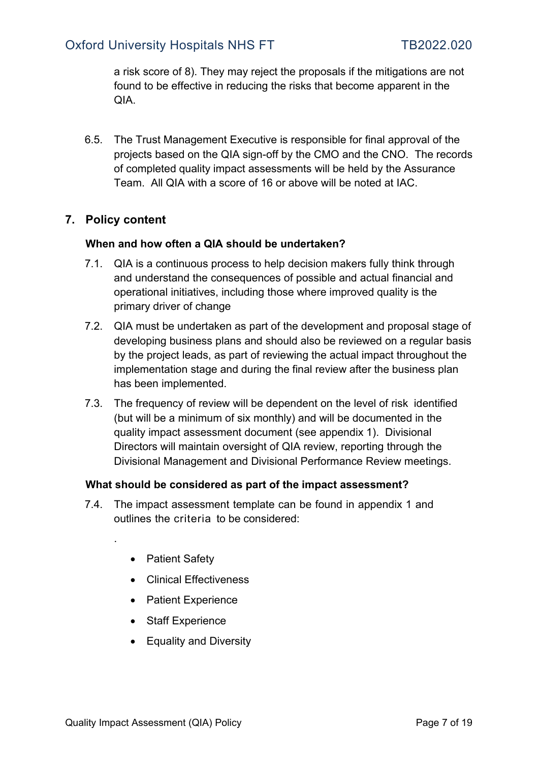# Oxford University Hospitals NHS FT TB2022.020

a risk score of 8). They may reject the proposals if the mitigations are not found to be effective in reducing the risks that become apparent in the QIA.

6.5. The Trust Management Executive is responsible for final approval of the projects based on the QIA sign-off by the CMO and the CNO. The records of completed quality impact assessments will be held by the Assurance Team. All QIA with a score of 16 or above will be noted at IAC.

# <span id="page-6-1"></span><span id="page-6-0"></span>**7. Policy content**

#### **When and how often a QIA should be undertaken?**

- 7.1. QIA is a continuous process to help decision makers fully think through and understand the consequences of possible and actual financial and operational initiatives, including those where improved quality is the primary driver of change
- 7.2. QIA must be undertaken as part of the development and proposal stage of developing business plans and should also be reviewed on a regular basis by the project leads, as part of reviewing the actual impact throughout the implementation stage and during the final review after the business plan has been implemented.
- 7.3. The frequency of review will be dependent on the level of risk identified (but will be a minimum of six monthly) and will be documented in the quality impact assessment document (see appendix 1). Divisional Directors will maintain oversight of QIA review, reporting through the Divisional Management and Divisional Performance Review meetings.

#### <span id="page-6-2"></span>**What should be considered as part of the impact assessment?**

- 7.4. The impact assessment template can be found in appendix 1 and outlines the criteria to be considered:
	- Patient Safety

.

- Clinical Effectiveness
- Patient Experience
- Staff Experience
- Equality and Diversity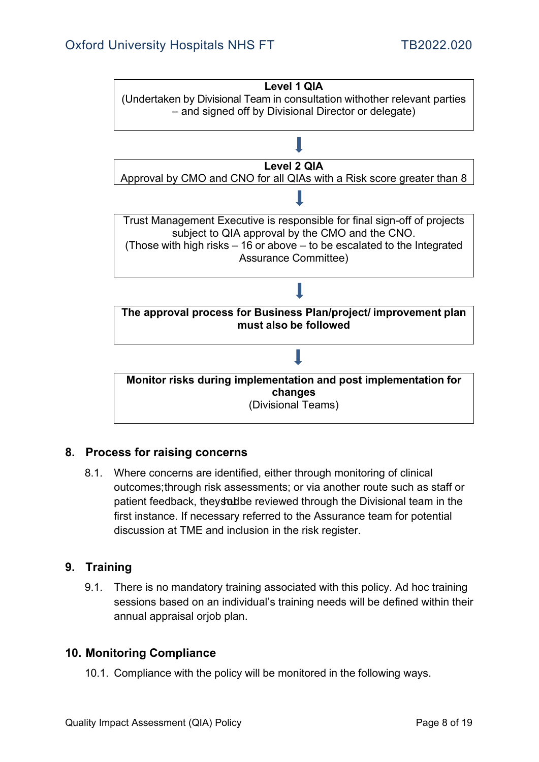

# <span id="page-7-0"></span>**8. Process for raising concerns**

8.1. Where concerns are identified, either through monitoring of clinical outcomes;through risk assessments; or via another route such as staff or patient feedback, they statibe reviewed through the Divisional team in the first instance. If necessary referred to the Assurance team for potential discussion at TME and inclusion in the risk register.

## <span id="page-7-1"></span>**9. Training**

9.1. There is no mandatory training associated with this policy. Ad hoc training sessions based on an individual's training needs will be defined within their annual appraisal orjob plan.

## <span id="page-7-2"></span>**10. Monitoring Compliance**

10.1. Compliance with the policy will be monitored in the following ways.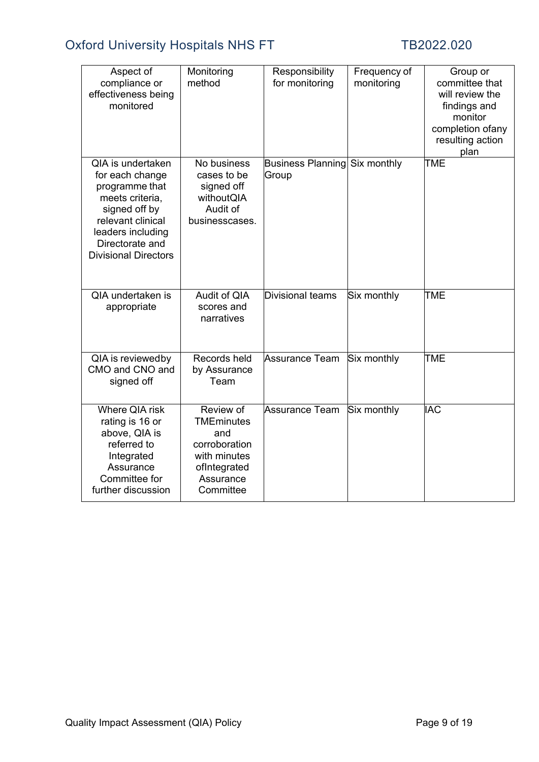# Oxford University Hospitals NHS FT TB2022.020

| Aspect of<br>compliance or<br>effectiveness being<br>monitored                                                                                                                                | Monitoring<br>method                                                                                             | Responsibility<br>for monitoring  | Frequency of<br>monitoring | Group or<br>committee that<br>will review the<br>findings and<br>monitor<br>completion ofany<br>resulting action<br>plan |
|-----------------------------------------------------------------------------------------------------------------------------------------------------------------------------------------------|------------------------------------------------------------------------------------------------------------------|-----------------------------------|----------------------------|--------------------------------------------------------------------------------------------------------------------------|
| <b>QIA</b> is undertaken<br>for each change<br>programme that<br>meets criteria,<br>signed off by<br>relevant clinical<br>leaders including<br>Directorate and<br><b>Divisional Directors</b> | No business<br>cases to be<br>signed off<br>withoutQIA<br>Audit of<br>businesscases.                             | <b>Business Planning</b><br>Group | Six monthly                | TME                                                                                                                      |
| QIA undertaken is<br>appropriate                                                                                                                                                              | Audit of QIA<br>scores and<br>narratives                                                                         | Divisional teams                  | Six monthly                | <b>TME</b>                                                                                                               |
| QIA is reviewedby<br>CMO and CNO and<br>signed off                                                                                                                                            | Records held<br>by Assurance<br>Team                                                                             | Assurance Team                    | Six monthly                | <b>TME</b>                                                                                                               |
| Where QIA risk<br>rating is 16 or<br>above, QIA is<br>referred to<br>Integrated<br>Assurance<br>Committee for<br>further discussion                                                           | Review of<br><b>TMEminutes</b><br>and<br>corroboration<br>with minutes<br>ofIntegrated<br>Assurance<br>Committee | <b>Assurance Team</b>             | Six monthly                | <b>IAC</b>                                                                                                               |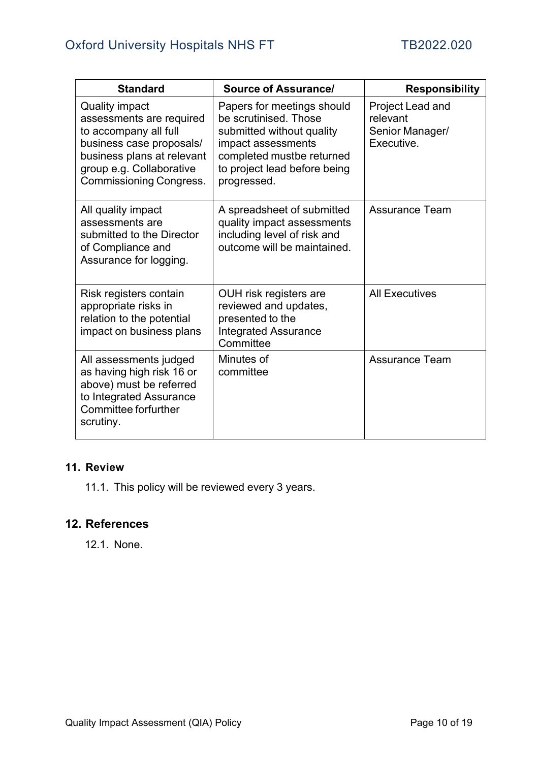| <b>Standard</b>                                                                                                                                                                                    | <b>Source of Assurance/</b>                                                                                                                                                        | <b>Responsibility</b>                                         |
|----------------------------------------------------------------------------------------------------------------------------------------------------------------------------------------------------|------------------------------------------------------------------------------------------------------------------------------------------------------------------------------------|---------------------------------------------------------------|
| <b>Quality impact</b><br>assessments are required<br>to accompany all full<br>business case proposals/<br>business plans at relevant<br>group e.g. Collaborative<br><b>Commissioning Congress.</b> | Papers for meetings should<br>be scrutinised. Those<br>submitted without quality<br>impact assessments<br>completed mustbe returned<br>to project lead before being<br>progressed. | Project Lead and<br>relevant<br>Senior Manager/<br>Executive. |
| All quality impact<br>assessments are<br>submitted to the Director<br>of Compliance and<br>Assurance for logging.                                                                                  | A spreadsheet of submitted<br>quality impact assessments<br>including level of risk and<br>outcome will be maintained.                                                             | <b>Assurance Team</b>                                         |
| Risk registers contain<br>appropriate risks in<br>relation to the potential<br>impact on business plans                                                                                            | OUH risk registers are<br>reviewed and updates,<br>presented to the<br><b>Integrated Assurance</b><br>Committee                                                                    | <b>All Executives</b>                                         |
| All assessments judged<br>as having high risk 16 or<br>above) must be referred<br>to Integrated Assurance<br>Committee forfurther<br>scrutiny.                                                     | Minutes of<br>committee                                                                                                                                                            | <b>Assurance Team</b>                                         |

## <span id="page-9-0"></span>**11. Review**

11.1. This policy will be reviewed every 3 years.

# <span id="page-9-1"></span>**12. References**

12.1. None.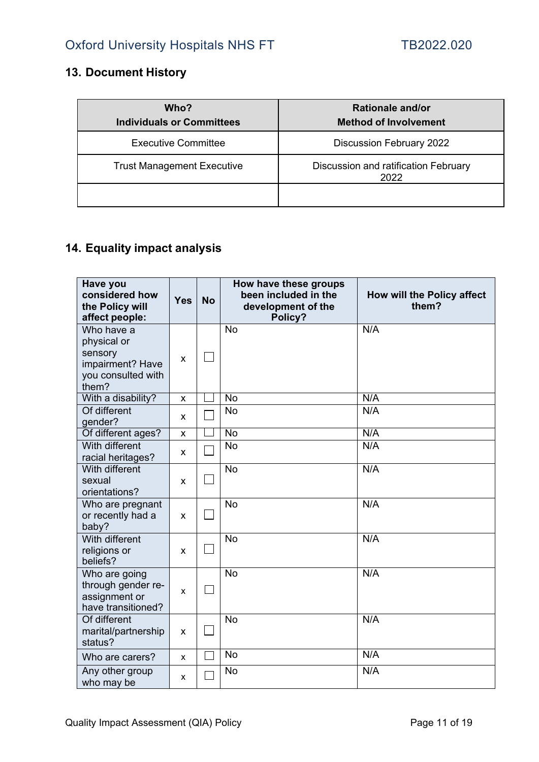# <span id="page-10-0"></span>**13. Document History**

| Who?<br><b>Individuals or Committees</b> | Rationale and/or<br><b>Method of Involvement</b> |
|------------------------------------------|--------------------------------------------------|
| <b>Executive Committee</b>               | <b>Discussion February 2022</b>                  |
| <b>Trust Management Executive</b>        | Discussion and ratification February<br>2022     |
|                                          |                                                  |

# <span id="page-10-1"></span>**14. Equality impact analysis**

| Have you<br>considered how<br>the Policy will<br>affect people:                         | <b>Yes</b> | <b>No</b> | How have these groups<br>been included in the<br>development of the<br>Policy? | How will the Policy affect<br>them? |
|-----------------------------------------------------------------------------------------|------------|-----------|--------------------------------------------------------------------------------|-------------------------------------|
| Who have a<br>physical or<br>sensory<br>impairment? Have<br>you consulted with<br>them? | x          |           | <b>No</b>                                                                      | N/A                                 |
| With a disability?                                                                      | X          |           | <b>No</b>                                                                      | N/A                                 |
| Of different<br>gender?                                                                 | X          |           | <b>No</b>                                                                      | N/A                                 |
| Of different ages?                                                                      | X          |           | <b>No</b>                                                                      | N/A                                 |
| With different<br>racial heritages?                                                     | x          |           | <b>No</b>                                                                      | N/A                                 |
| With different<br>sexual<br>orientations?                                               | X          |           | <b>No</b>                                                                      | N/A                                 |
| Who are pregnant<br>or recently had a<br>baby?                                          | X          |           | <b>No</b>                                                                      | N/A                                 |
| With different<br>religions or<br>beliefs?                                              | X          |           | <b>No</b>                                                                      | N/A                                 |
| Who are going<br>through gender re-<br>assignment or<br>have transitioned?              | X          |           | <b>No</b>                                                                      | N/A                                 |
| Of different<br>marital/partnership<br>status?                                          | x          |           | <b>No</b>                                                                      | N/A                                 |
| Who are carers?                                                                         | X          |           | <b>No</b>                                                                      | N/A                                 |
| Any other group<br>who may be                                                           | X          |           | <b>No</b>                                                                      | N/A                                 |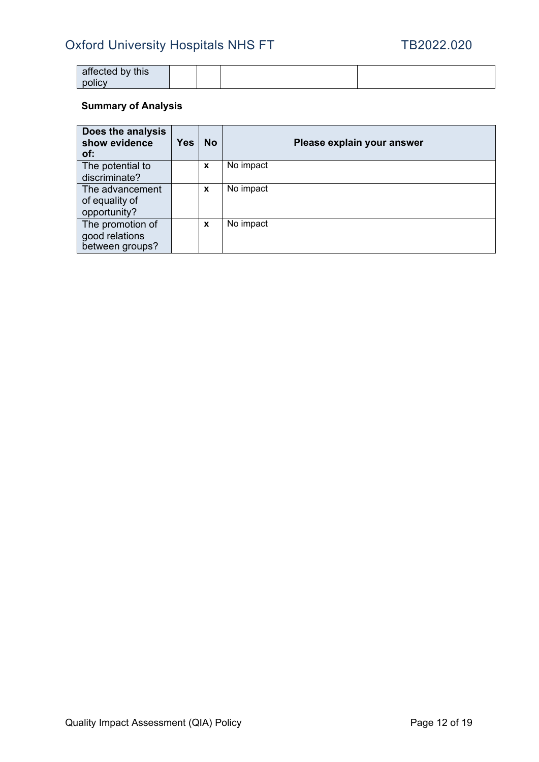# Oxford University Hospitals NHS FT TB2022.020

| affected by this |  |  |
|------------------|--|--|
| nolicy<br>pono   |  |  |

# **Summary of Analysis**

| Does the analysis<br>show evidence<br>of:             | <b>Yes</b> | <b>No</b> | Please explain your answer |
|-------------------------------------------------------|------------|-----------|----------------------------|
| The potential to<br>discriminate?                     |            | X         | No impact                  |
| The advancement<br>of equality of<br>opportunity?     |            | X         | No impact                  |
| The promotion of<br>good relations<br>between groups? |            | X         | No impact                  |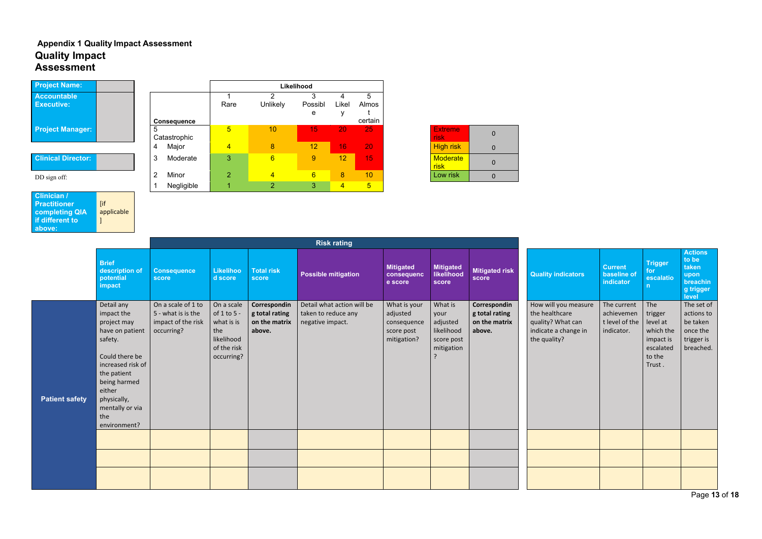Page **13** of **18**

# <span id="page-12-0"></span>**Appendix 1 Quality Impact Assessment Quality Impact Assessment**

| <b>Project Name:</b>                    |  |                    | Likelihood |          |     |
|-----------------------------------------|--|--------------------|------------|----------|-----|
| <b>Accountable</b><br><b>Executive:</b> |  |                    | Rare       | Unlikely | Pos |
|                                         |  | <b>Consequence</b> |            |          |     |
| <b>Project Manager:</b>                 |  | 5<br>Catastrophic  | 5          | 10       |     |
|                                         |  | Major<br>4         | 4          | 8        |     |

# **Clinical Director:**

| . <b>.</b> .                            |                    |                |                 | LINGIIIVUU      |                |                |
|-----------------------------------------|--------------------|----------------|-----------------|-----------------|----------------|----------------|
| <b>Accountable</b><br><b>Executive:</b> |                    | Rare           | <b>Unlikely</b> | Possibl         | Likel          | 5<br>Almos     |
|                                         |                    |                |                 | е               |                |                |
|                                         | <b>Consequence</b> |                |                 |                 |                | certain        |
| <b>Project Manager:</b>                 | 5<br>Catastrophic  | 5              | 10              | 15'             | 20             | 25             |
|                                         | Major<br>4         | $\overline{4}$ | 8               | 12              | 16             | 20             |
| <b>Clinical Director:</b>               | 3<br>Moderate      | 3              | $6\phantom{1}6$ | 9               | 12             | 15             |
| DD sign off:                            | Minor<br>2         | $\overline{2}$ | $\overline{4}$  | $6\overline{6}$ | 8              | 10             |
|                                         | Negligible         |                | $\overline{2}$  | 3               | $\overline{4}$ | $\overline{5}$ |

| <b>Extreme</b><br>risk  | O |
|-------------------------|---|
| <b>High risk</b>        |   |
| <b>Moderate</b><br>risk | O |
| Low risk                |   |

| Clinician /           |            |
|-----------------------|------------|
| <b>Practitioner</b>   | <b>Tif</b> |
| <b>completing QIA</b> | applicable |
| if different to       | - I        |
| above:                |            |

|                       | <b>Brief</b><br>description of<br>potential<br>impact                                                                                                                                                          | <b>Consequence</b><br><b>score</b>                                           | <b>Likelihoo</b><br>d score                                                               | <b>Total risk</b><br>score                                | <b>Possible mitigation</b>                                            | <b>Mitigated</b><br>consequenc<br>e score                            | <b>Mitigated</b><br>likelihood<br>score                               | <b>Mitigated risk</b><br><b>score</b>                     | <b>Quality indicators</b>                                                                           | <b>Current</b><br>baseline of<br><b>indicator</b>         | <b>Trigger</b><br>for<br>escalatio<br>n                                               | <b>Actions</b><br>to be<br>taken<br>upon<br>breachin<br>g trigger<br>level  |
|-----------------------|----------------------------------------------------------------------------------------------------------------------------------------------------------------------------------------------------------------|------------------------------------------------------------------------------|-------------------------------------------------------------------------------------------|-----------------------------------------------------------|-----------------------------------------------------------------------|----------------------------------------------------------------------|-----------------------------------------------------------------------|-----------------------------------------------------------|-----------------------------------------------------------------------------------------------------|-----------------------------------------------------------|---------------------------------------------------------------------------------------|-----------------------------------------------------------------------------|
| <b>Patient safety</b> | Detail any<br>impact the<br>project may<br>have on patient<br>safety.<br>Could there be<br>increased risk of<br>the patient<br>being harmed<br>either<br>physically,<br>mentally or via<br>the<br>environment? | On a scale of 1 to<br>5 - what is is the<br>impact of the risk<br>occurring? | On a scale<br>of 1 to 5 -<br>what is is<br>the<br>likelihood<br>of the risk<br>occurring? | Correspondin<br>g total rating<br>on the matrix<br>above. | Detail what action will be<br>taken to reduce any<br>negative impact. | What is your<br>adjusted<br>consequence<br>score post<br>mitigation? | What is<br>your<br>adjusted<br>likelihood<br>score post<br>mitigation | Correspondin<br>g total rating<br>on the matrix<br>above. | How will you measure<br>the healthcare<br>quality? What can<br>indicate a change in<br>the quality? | The current<br>achievemen<br>t level of the<br>indicator. | The<br>trigger<br>level at<br>which the<br>impact is<br>escalated<br>to the<br>Trust. | The set of<br>actions to<br>be taken<br>once the<br>trigger is<br>breached. |
|                       |                                                                                                                                                                                                                |                                                                              |                                                                                           |                                                           |                                                                       |                                                                      |                                                                       |                                                           |                                                                                                     |                                                           |                                                                                       |                                                                             |
|                       |                                                                                                                                                                                                                |                                                                              |                                                                                           |                                                           |                                                                       |                                                                      |                                                                       |                                                           |                                                                                                     |                                                           |                                                                                       |                                                                             |
|                       |                                                                                                                                                                                                                |                                                                              |                                                                                           |                                                           |                                                                       |                                                                      |                                                                       |                                                           |                                                                                                     |                                                           |                                                                                       |                                                                             |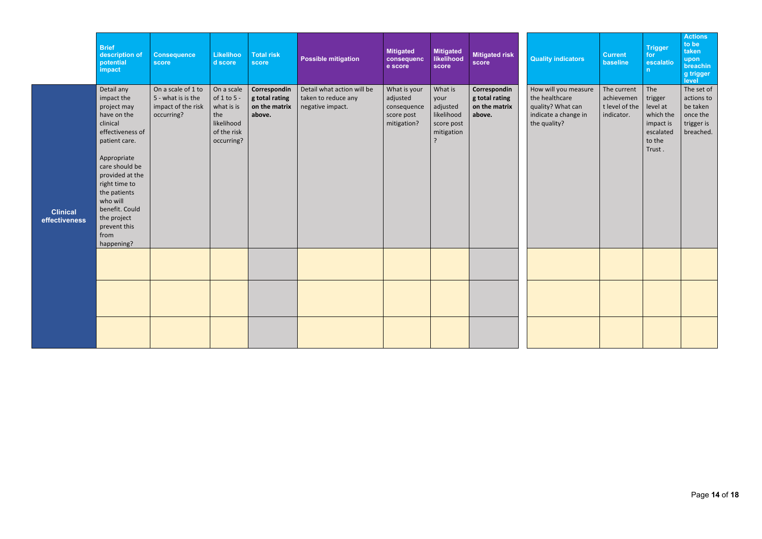|                                  | <b>Brief</b><br>description of<br>potential<br>impact                                                                                                                                                                                                                           | <b>Consequence</b><br>score                                                  | <b>Likelihoo</b><br>d score                                                               | <b>Total risk</b><br>score                                | <b>Possible mitigation</b>                                            | <b>Mitigated</b><br>consequenc<br>e score                            | <b>Mitigated</b><br><b>likelihood</b><br>score                                          | <b>Mitigated risk</b><br><b>score</b>                     | <b>Quality indicators</b>                                                                           | <b>Current</b><br>baseline                                | <b>Trigger</b><br>for<br>escalatio<br>n                                               | <b>Actions</b><br>to be<br>taken<br>upon<br>breachin<br>g trigger<br>level  |
|----------------------------------|---------------------------------------------------------------------------------------------------------------------------------------------------------------------------------------------------------------------------------------------------------------------------------|------------------------------------------------------------------------------|-------------------------------------------------------------------------------------------|-----------------------------------------------------------|-----------------------------------------------------------------------|----------------------------------------------------------------------|-----------------------------------------------------------------------------------------|-----------------------------------------------------------|-----------------------------------------------------------------------------------------------------|-----------------------------------------------------------|---------------------------------------------------------------------------------------|-----------------------------------------------------------------------------|
| <b>Clinical</b><br>effectiveness | Detail any<br>impact the<br>project may<br>have on the<br>clinical<br>effectiveness of<br>patient care.<br>Appropriate<br>care should be<br>provided at the<br>right time to<br>the patients<br>who will<br>benefit. Could<br>the project<br>prevent this<br>from<br>happening? | On a scale of 1 to<br>5 - what is is the<br>impact of the risk<br>occurring? | On a scale<br>of 1 to 5 -<br>what is is<br>the<br>likelihood<br>of the risk<br>occurring? | Correspondin<br>g total rating<br>on the matrix<br>above. | Detail what action will be<br>taken to reduce any<br>negative impact. | What is your<br>adjusted<br>consequence<br>score post<br>mitigation? | What is<br>your<br>adjusted<br>likelihood<br>score post<br>mitigation<br>$\overline{?}$ | Correspondin<br>g total rating<br>on the matrix<br>above. | How will you measure<br>the healthcare<br>quality? What can<br>indicate a change in<br>the quality? | The current<br>achievemen<br>t level of the<br>indicator. | The<br>trigger<br>level at<br>which the<br>impact is<br>escalated<br>to the<br>Trust. | The set of<br>actions to<br>be taken<br>once the<br>trigger is<br>breached. |
|                                  |                                                                                                                                                                                                                                                                                 |                                                                              |                                                                                           |                                                           |                                                                       |                                                                      |                                                                                         |                                                           |                                                                                                     |                                                           |                                                                                       |                                                                             |
|                                  |                                                                                                                                                                                                                                                                                 |                                                                              |                                                                                           |                                                           |                                                                       |                                                                      |                                                                                         |                                                           |                                                                                                     |                                                           |                                                                                       |                                                                             |
|                                  |                                                                                                                                                                                                                                                                                 |                                                                              |                                                                                           |                                                           |                                                                       |                                                                      |                                                                                         |                                                           |                                                                                                     |                                                           |                                                                                       |                                                                             |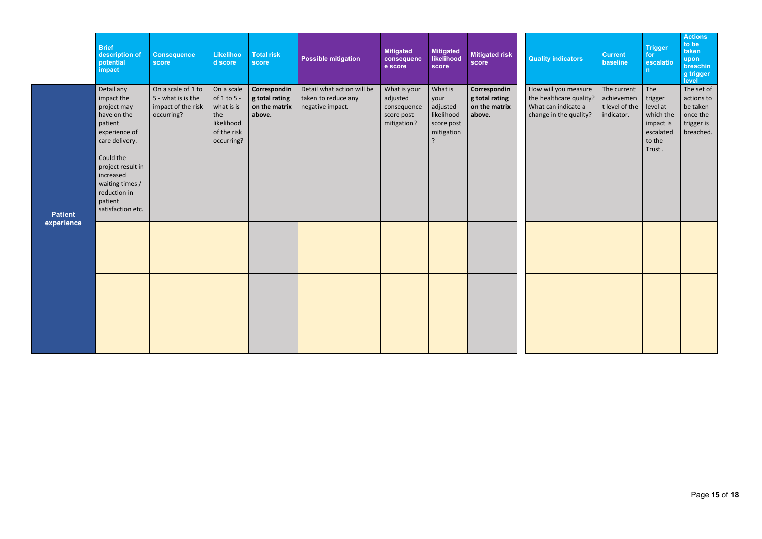|                              | <b>Brief</b><br>description of<br>potential<br>impact                                                                                                                                                                  | <b>Consequence</b><br>score                                                  | <b>Likelihoo</b><br>d score                                                               | <b>Total risk</b><br>score                                | <b>Possible mitigation</b>                                            | <b>Mitigated</b><br>consequenc<br>e score                            | <b>Mitigated</b><br>likelihood<br>score                                                 | <b>Mitigated risk</b><br>score                            | <b>Quality indicators</b>                                                                        | <b>Current</b><br>baseline                                | Trigger<br>for<br>escalatio<br>n                                                      | <b>Actions</b><br>to be<br>taken<br>upon<br>breachin<br>g trigger<br>level  |
|------------------------------|------------------------------------------------------------------------------------------------------------------------------------------------------------------------------------------------------------------------|------------------------------------------------------------------------------|-------------------------------------------------------------------------------------------|-----------------------------------------------------------|-----------------------------------------------------------------------|----------------------------------------------------------------------|-----------------------------------------------------------------------------------------|-----------------------------------------------------------|--------------------------------------------------------------------------------------------------|-----------------------------------------------------------|---------------------------------------------------------------------------------------|-----------------------------------------------------------------------------|
| <b>Patient</b><br>experience | Detail any<br>impact the<br>project may<br>have on the<br>patient<br>experience of<br>care delivery.<br>Could the<br>project result in<br>increased<br>waiting times /<br>reduction in<br>patient<br>satisfaction etc. | On a scale of 1 to<br>5 - what is is the<br>impact of the risk<br>occurring? | On a scale<br>of 1 to 5 -<br>what is is<br>the<br>likelihood<br>of the risk<br>occurring? | Correspondin<br>g total rating<br>on the matrix<br>above. | Detail what action will be<br>taken to reduce any<br>negative impact. | What is your<br>adjusted<br>consequence<br>score post<br>mitigation? | What is<br>your<br>adjusted<br>likelihood<br>score post<br>mitigation<br>$\overline{z}$ | Correspondin<br>g total rating<br>on the matrix<br>above. | How will you measure<br>the healthcare quality?<br>What can indicate a<br>change in the quality? | The current<br>achievemen<br>t level of the<br>indicator. | The<br>trigger<br>level at<br>which the<br>impact is<br>escalated<br>to the<br>Trust. | The set of<br>actions to<br>be taken<br>once the<br>trigger is<br>breached. |
|                              |                                                                                                                                                                                                                        |                                                                              |                                                                                           |                                                           |                                                                       |                                                                      |                                                                                         |                                                           |                                                                                                  |                                                           |                                                                                       |                                                                             |
|                              |                                                                                                                                                                                                                        |                                                                              |                                                                                           |                                                           |                                                                       |                                                                      |                                                                                         |                                                           |                                                                                                  |                                                           |                                                                                       |                                                                             |
|                              |                                                                                                                                                                                                                        |                                                                              |                                                                                           |                                                           |                                                                       |                                                                      |                                                                                         |                                                           |                                                                                                  |                                                           |                                                                                       |                                                                             |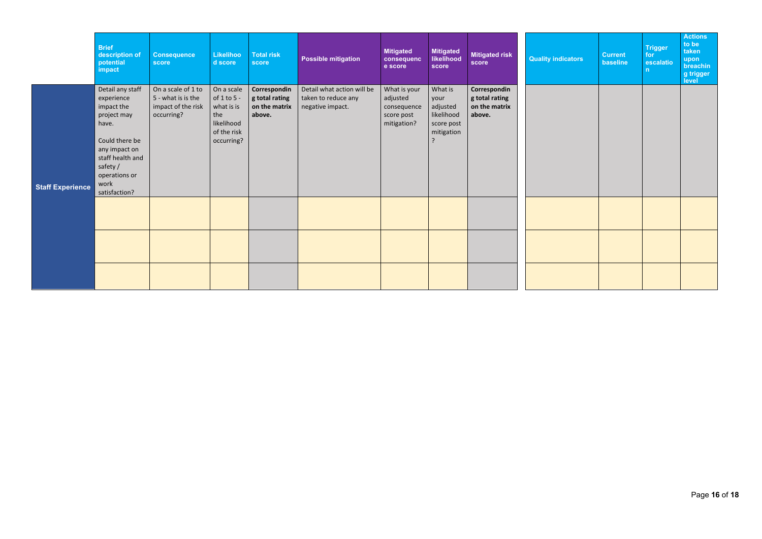|                         | <b>Brief</b><br>description of<br>potential<br>impact                                                                                                                             | <b>Consequence</b><br>score                                                  | Likelihoo<br>d score                                                                          | <b>Total risk</b><br>score                                | <b>Possible mitigation</b>                                            | <b>Mitigated</b><br>consequenc<br>e score                            | <b>Mitigated</b><br>likelihood<br>score                               | <b>Mitigated risk</b><br>score                            | <b>Quality indicators</b> | <b>Current</b><br>baseline | <b>Trigger</b><br>for<br>escalatio<br>n | <b>Actions</b><br>to be<br>taken<br>upon<br>breachin<br>g trigger<br>level |
|-------------------------|-----------------------------------------------------------------------------------------------------------------------------------------------------------------------------------|------------------------------------------------------------------------------|-----------------------------------------------------------------------------------------------|-----------------------------------------------------------|-----------------------------------------------------------------------|----------------------------------------------------------------------|-----------------------------------------------------------------------|-----------------------------------------------------------|---------------------------|----------------------------|-----------------------------------------|----------------------------------------------------------------------------|
| <b>Staff Experience</b> | Detail any staff<br>experience<br>impact the<br>project may<br>have.<br>Could there be<br>any impact on<br>staff health and<br>safety /<br>operations or<br>work<br>satisfaction? | On a scale of 1 to<br>5 - what is is the<br>impact of the risk<br>occurring? | On a scale<br>of $1$ to $5$ -<br>what is is<br>the<br>likelihood<br>of the risk<br>occurring? | Correspondin<br>g total rating<br>on the matrix<br>above. | Detail what action will be<br>taken to reduce any<br>negative impact. | What is your<br>adjusted<br>consequence<br>score post<br>mitigation? | What is<br>your<br>adjusted<br>likelihood<br>score post<br>mitigation | Correspondin<br>g total rating<br>on the matrix<br>above. |                           |                            |                                         |                                                                            |
|                         |                                                                                                                                                                                   |                                                                              |                                                                                               |                                                           |                                                                       |                                                                      |                                                                       |                                                           |                           |                            |                                         |                                                                            |
|                         |                                                                                                                                                                                   |                                                                              |                                                                                               |                                                           |                                                                       |                                                                      |                                                                       |                                                           |                           |                            |                                         |                                                                            |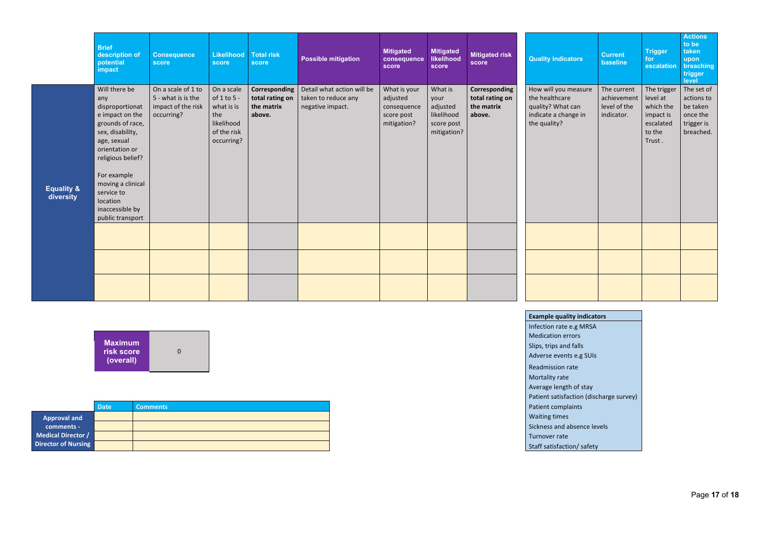|                                    | <b>Brief</b><br>description of<br>potential<br>impact                                                                                                                                                                                                         | <b>Consequence</b><br>score                                                  | Likelihood<br>score                                                                       | <b>Total risk</b><br>score                               | <b>Possible mitigation</b>                                            | <b>Mitigated</b><br>consequence<br>score                             | <b>Mitigated</b><br>likelihood<br>score                                | <b>Mitigated risk</b><br>score                           | <b>Quality indicators</b>                                                                           | <b>Current</b><br>baseline                               | <b>Trigger</b><br>for<br>escalation                                                | <b>Actions</b><br>to be<br>taken<br>upon<br>breaching<br>trigger<br>level   |
|------------------------------------|---------------------------------------------------------------------------------------------------------------------------------------------------------------------------------------------------------------------------------------------------------------|------------------------------------------------------------------------------|-------------------------------------------------------------------------------------------|----------------------------------------------------------|-----------------------------------------------------------------------|----------------------------------------------------------------------|------------------------------------------------------------------------|----------------------------------------------------------|-----------------------------------------------------------------------------------------------------|----------------------------------------------------------|------------------------------------------------------------------------------------|-----------------------------------------------------------------------------|
| <b>Equality &amp;</b><br>diversity | Will there be<br>any<br>disproportionat<br>e impact on the<br>grounds of race,<br>sex, disability,<br>age, sexual<br>orientation or<br>religious belief?<br>For example<br>moving a clinical<br>service to<br>location<br>inaccessible by<br>public transport | On a scale of 1 to<br>5 - what is is the<br>impact of the risk<br>occurring? | On a scale<br>of 1 to 5 -<br>what is is<br>the<br>likelihood<br>of the risk<br>occurring? | Corresponding<br>total rating on<br>the matrix<br>above. | Detail what action will be<br>taken to reduce any<br>negative impact. | What is your<br>adjusted<br>consequence<br>score post<br>mitigation? | What is<br>your<br>adjusted<br>likelihood<br>score post<br>mitigation? | Corresponding<br>total rating on<br>the matrix<br>above. | How will you measure<br>the healthcare<br>quality? What can<br>indicate a change in<br>the quality? | The current<br>achievement<br>level of the<br>indicator. | The trigger<br>level at<br>which the<br>impact is<br>escalated<br>to the<br>Trust. | The set of<br>actions to<br>be taken<br>once the<br>trigger is<br>breached. |
|                                    |                                                                                                                                                                                                                                                               |                                                                              |                                                                                           |                                                          |                                                                       |                                                                      |                                                                        |                                                          |                                                                                                     |                                                          |                                                                                    |                                                                             |
|                                    |                                                                                                                                                                                                                                                               |                                                                              |                                                                                           |                                                          |                                                                       |                                                                      |                                                                        |                                                          |                                                                                                     |                                                          |                                                                                    |                                                                             |
|                                    |                                                                                                                                                                                                                                                               |                                                                              |                                                                                           |                                                          |                                                                       |                                                                      |                                                                        |                                                          |                                                                                                     |                                                          |                                                                                    |                                                                             |

Infection rate  $e.g.$  $\overline{\phantom{a}}$  Medication error  $\vert$  Slips, trips and fa  $A$ dverse events Readmission rate Mortality rate Average length of  $P$ atient satisfacti **Patient complain** Waiting times Sickness and abse Turnover rate Staff satisfaction/ safety

| indicators             |
|------------------------|
| g MRSA                 |
| rs                     |
| alls                   |
| e.g SUIs               |
| e                      |
|                        |
| of stay                |
| ion (discharge survey) |
| ١ts                    |
|                        |
| sence levels           |

| <b>Maximum</b><br>risk score<br>O<br>(overall) |
|------------------------------------------------|
|------------------------------------------------|

|                           | <b>Date</b> | <b>Comments</b> |
|---------------------------|-------------|-----------------|
| <b>Approval and</b>       |             |                 |
| comments -                |             |                 |
| <b>Medical Director /</b> |             |                 |
| Director of Nursing       |             |                 |

# **Example quality**